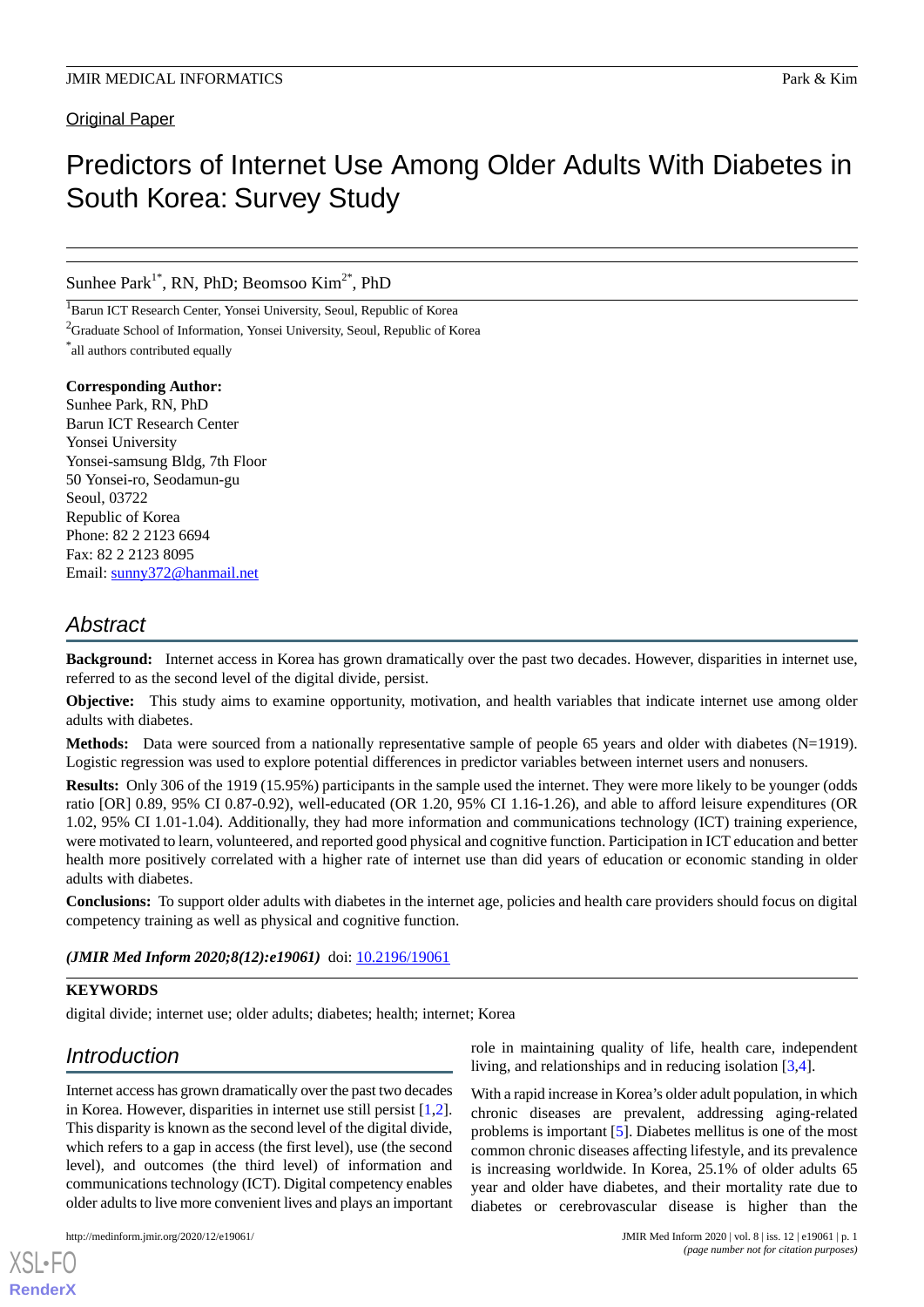**Original Paper** 

# Predictors of Internet Use Among Older Adults With Diabetes in South Korea: Survey Study

Sunhee Park<sup>1\*</sup>, RN, PhD; Beomsoo Kim<sup>2\*</sup>, PhD

<sup>1</sup>Barun ICT Research Center, Yonsei University, Seoul, Republic of Korea

<sup>2</sup>Graduate School of Information, Yonsei University, Seoul, Republic of Korea

\* all authors contributed equally

**Corresponding Author:** Sunhee Park, RN, PhD Barun ICT Research Center Yonsei University Yonsei-samsung Bldg, 7th Floor 50 Yonsei-ro, Seodamun-gu Seoul, 03722 Republic of Korea Phone: 82 2 2123 6694 Fax: 82 2 2123 8095 Email: [sunny372@hanmail.net](mailto:sunny372@hanmail.net)

# *Abstract*

**Background:** Internet access in Korea has grown dramatically over the past two decades. However, disparities in internet use, referred to as the second level of the digital divide, persist.

**Objective:** This study aims to examine opportunity, motivation, and health variables that indicate internet use among older adults with diabetes.

**Methods:** Data were sourced from a nationally representative sample of people 65 years and older with diabetes (N=1919). Logistic regression was used to explore potential differences in predictor variables between internet users and nonusers.

**Results:** Only 306 of the 1919 (15.95%) participants in the sample used the internet. They were more likely to be younger (odds ratio [OR] 0.89, 95% CI 0.87-0.92), well-educated (OR 1.20, 95% CI 1.16-1.26), and able to afford leisure expenditures (OR 1.02, 95% CI 1.01-1.04). Additionally, they had more information and communications technology (ICT) training experience, were motivated to learn, volunteered, and reported good physical and cognitive function. Participation in ICT education and better health more positively correlated with a higher rate of internet use than did years of education or economic standing in older adults with diabetes.

**Conclusions:** To support older adults with diabetes in the internet age, policies and health care providers should focus on digital competency training as well as physical and cognitive function.

(JMIR Med Inform 2020;8(12):e19061) doi: [10.2196/19061](http://dx.doi.org/10.2196/19061)

## **KEYWORDS**

digital divide; internet use; older adults; diabetes; health; internet; Korea

# *Introduction*

Internet access has grown dramatically over the past two decades in Korea. However, disparities in internet use still persist [\[1](#page-5-0),[2\]](#page-5-1). This disparity is known as the second level of the digital divide, which refers to a gap in access (the first level), use (the second level), and outcomes (the third level) of information and communications technology (ICT). Digital competency enables older adults to live more convenient lives and plays an important

[XSL](http://www.w3.org/Style/XSL)•FO **[RenderX](http://www.renderx.com/)**

role in maintaining quality of life, health care, independent living, and relationships and in reducing isolation [\[3](#page-6-0),[4\]](#page-6-1).

With a rapid increase in Korea's older adult population, in which chronic diseases are prevalent, addressing aging-related problems is important [[5\]](#page-6-2). Diabetes mellitus is one of the most common chronic diseases affecting lifestyle, and its prevalence is increasing worldwide. In Korea, 25.1% of older adults 65 year and older have diabetes, and their mortality rate due to diabetes or cerebrovascular disease is higher than the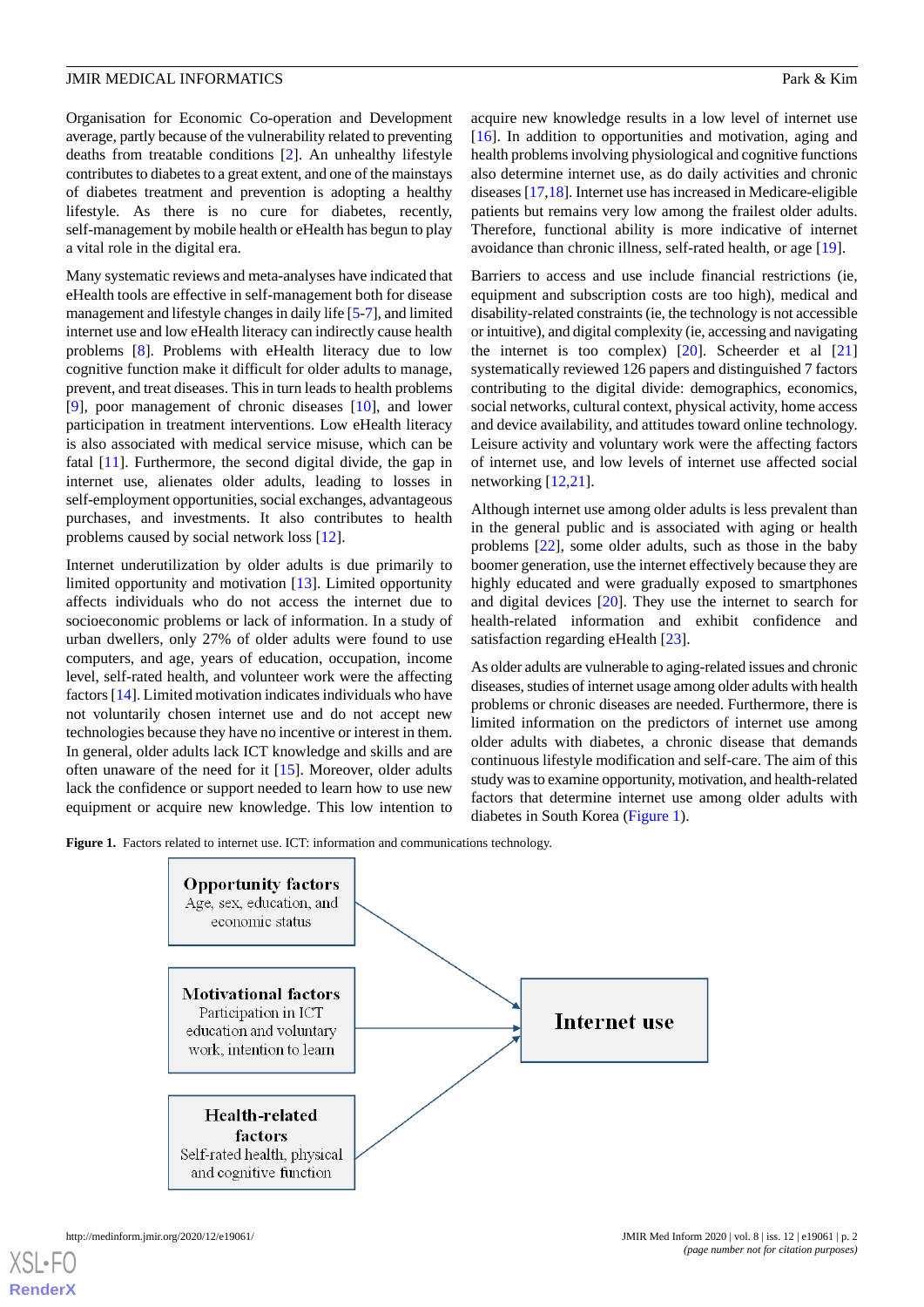Organisation for Economic Co-operation and Development average, partly because of the vulnerability related to preventing deaths from treatable conditions [\[2](#page-5-1)]. An unhealthy lifestyle contributes to diabetes to a great extent, and one of the mainstays of diabetes treatment and prevention is adopting a healthy lifestyle. As there is no cure for diabetes, recently, self-management by mobile health or eHealth has begun to play a vital role in the digital era.

Many systematic reviews and meta-analyses have indicated that eHealth tools are effective in self-management both for disease management and lifestyle changes in daily life [\[5](#page-6-2)[-7](#page-6-3)], and limited internet use and low eHealth literacy can indirectly cause health problems [[8\]](#page-6-4). Problems with eHealth literacy due to low cognitive function make it difficult for older adults to manage, prevent, and treat diseases. This in turn leads to health problems [[9\]](#page-6-5), poor management of chronic diseases [\[10](#page-6-6)], and lower participation in treatment interventions. Low eHealth literacy is also associated with medical service misuse, which can be fatal [\[11](#page-6-7)]. Furthermore, the second digital divide, the gap in internet use, alienates older adults, leading to losses in self-employment opportunities, social exchanges, advantageous purchases, and investments. It also contributes to health problems caused by social network loss [[12\]](#page-6-8).

Internet underutilization by older adults is due primarily to limited opportunity and motivation [\[13](#page-6-9)]. Limited opportunity affects individuals who do not access the internet due to socioeconomic problems or lack of information. In a study of urban dwellers, only 27% of older adults were found to use computers, and age, years of education, occupation, income level, self-rated health, and volunteer work were the affecting factors [[14\]](#page-6-10). Limited motivation indicates individuals who have not voluntarily chosen internet use and do not accept new technologies because they have no incentive or interest in them. In general, older adults lack ICT knowledge and skills and are often unaware of the need for it [\[15](#page-6-11)]. Moreover, older adults lack the confidence or support needed to learn how to use new equipment or acquire new knowledge. This low intention to

acquire new knowledge results in a low level of internet use [[16\]](#page-6-12). In addition to opportunities and motivation, aging and health problems involving physiological and cognitive functions also determine internet use, as do daily activities and chronic diseases [\[17](#page-6-13),[18](#page-6-14)]. Internet use has increased in Medicare-eligible patients but remains very low among the frailest older adults. Therefore, functional ability is more indicative of internet avoidance than chronic illness, self-rated health, or age [\[19](#page-6-15)].

Barriers to access and use include financial restrictions (ie, equipment and subscription costs are too high), medical and disability-related constraints (ie, the technology is not accessible or intuitive), and digital complexity (ie, accessing and navigating the internet is too complex)  $[20]$  $[20]$ . Scheerder et al  $[21]$  $[21]$ systematically reviewed 126 papers and distinguished 7 factors contributing to the digital divide: demographics, economics, social networks, cultural context, physical activity, home access and device availability, and attitudes toward online technology. Leisure activity and voluntary work were the affecting factors of internet use, and low levels of internet use affected social networking [[12](#page-6-8)[,21](#page-6-17)].

Although internet use among older adults is less prevalent than in the general public and is associated with aging or health problems [[22\]](#page-6-18), some older adults, such as those in the baby boomer generation, use the internet effectively because they are highly educated and were gradually exposed to smartphones and digital devices [\[20](#page-6-16)]. They use the internet to search for health-related information and exhibit confidence and satisfaction regarding eHealth [\[23](#page-6-19)].

As older adults are vulnerable to aging-related issues and chronic diseases, studies of internet usage among older adults with health problems or chronic diseases are needed. Furthermore, there is limited information on the predictors of internet use among older adults with diabetes, a chronic disease that demands continuous lifestyle modification and self-care. The aim of this study was to examine opportunity, motivation, and health-related factors that determine internet use among older adults with diabetes in South Korea ([Figure 1](#page-1-0)).

<span id="page-1-0"></span>Figure 1. Factors related to internet use. ICT: information and communications technology.



[XSL](http://www.w3.org/Style/XSL)•FO **[RenderX](http://www.renderx.com/)**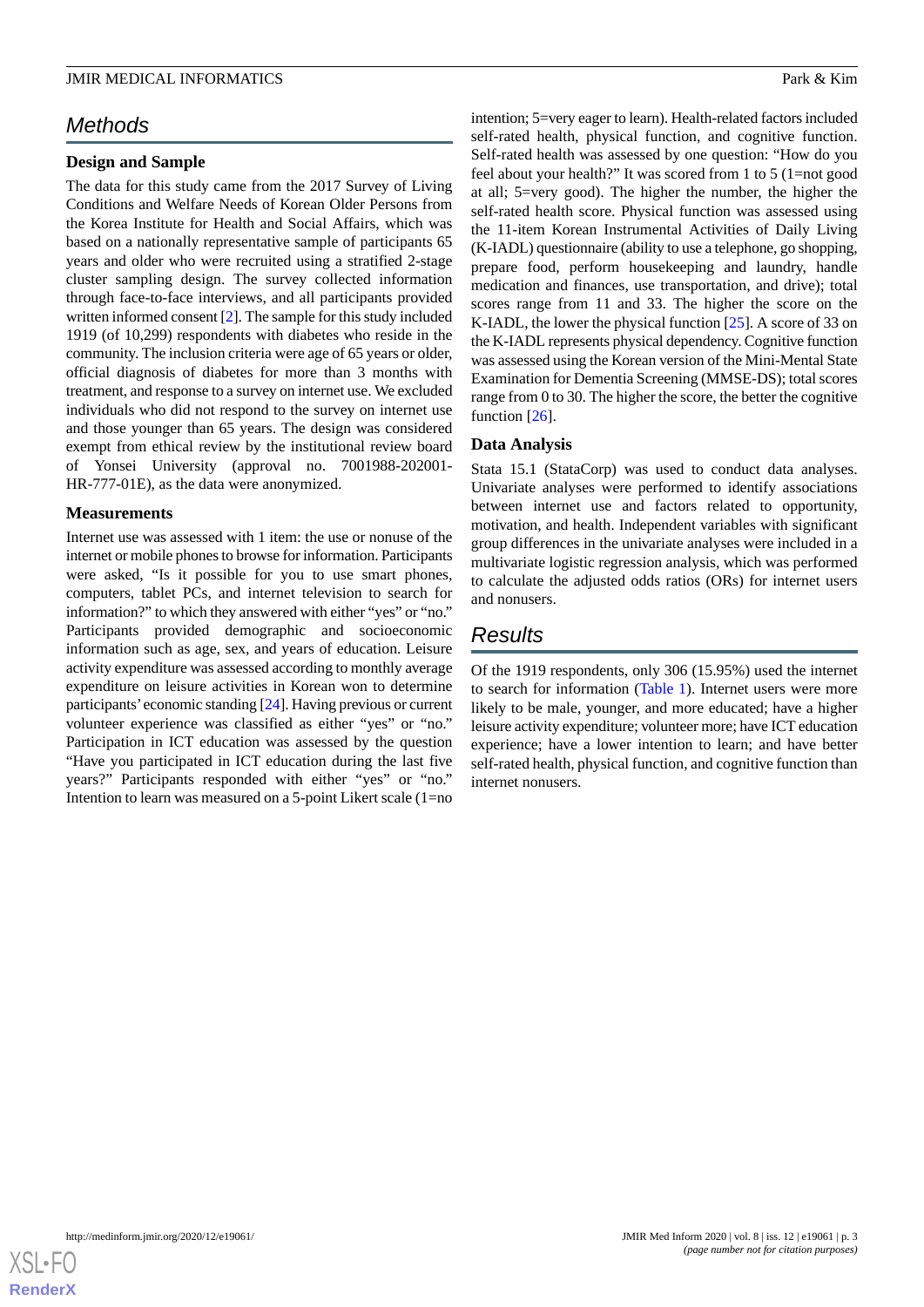# *Methods*

### **Design and Sample**

The data for this study came from the 2017 Survey of Living Conditions and Welfare Needs of Korean Older Persons from the Korea Institute for Health and Social Affairs, which was based on a nationally representative sample of participants 65 years and older who were recruited using a stratified 2-stage cluster sampling design. The survey collected information through face-to-face interviews, and all participants provided written informed consent [[2](#page-5-1)]. The sample for this study included 1919 (of 10,299) respondents with diabetes who reside in the community. The inclusion criteria were age of 65 years or older, official diagnosis of diabetes for more than 3 months with treatment, and response to a survey on internet use. We excluded individuals who did not respond to the survey on internet use and those younger than 65 years. The design was considered exempt from ethical review by the institutional review board of Yonsei University (approval no. 7001988-202001- HR-777-01E), as the data were anonymized.

### **Measurements**

Internet use was assessed with 1 item: the use or nonuse of the internet or mobile phones to browse for information. Participants were asked, "Is it possible for you to use smart phones, computers, tablet PCs, and internet television to search for information?" to which they answered with either "yes" or "no." Participants provided demographic and socioeconomic information such as age, sex, and years of education. Leisure activity expenditure was assessed according to monthly average expenditure on leisure activities in Korean won to determine participants'economic standing [[24](#page-6-20)]. Having previous or current volunteer experience was classified as either "yes" or "no." Participation in ICT education was assessed by the question "Have you participated in ICT education during the last five years?" Participants responded with either "yes" or "no." Intention to learn was measured on a 5-point Likert scale (1=no

intention; 5=very eager to learn). Health-related factors included self-rated health, physical function, and cognitive function. Self-rated health was assessed by one question: "How do you feel about your health?" It was scored from 1 to 5 (1=not good at all; 5=very good). The higher the number, the higher the self-rated health score. Physical function was assessed using the 11-item Korean Instrumental Activities of Daily Living (K-IADL) questionnaire (ability to use a telephone, go shopping, prepare food, perform housekeeping and laundry, handle medication and finances, use transportation, and drive); total scores range from 11 and 33. The higher the score on the K-IADL, the lower the physical function [[25\]](#page-6-21). A score of 33 on the K-IADL represents physical dependency. Cognitive function was assessed using the Korean version of the Mini-Mental State Examination for Dementia Screening (MMSE-DS); total scores range from 0 to 30. The higher the score, the better the cognitive function [[26\]](#page-6-22).

## **Data Analysis**

Stata 15.1 (StataCorp) was used to conduct data analyses. Univariate analyses were performed to identify associations between internet use and factors related to opportunity, motivation, and health. Independent variables with significant group differences in the univariate analyses were included in a multivariate logistic regression analysis, which was performed to calculate the adjusted odds ratios (ORs) for internet users and nonusers.

# *Results*

Of the 1919 respondents, only 306 (15.95%) used the internet to search for information [\(Table 1](#page-3-0)). Internet users were more likely to be male, younger, and more educated; have a higher leisure activity expenditure; volunteer more; have ICT education experience; have a lower intention to learn; and have better self-rated health, physical function, and cognitive function than internet nonusers.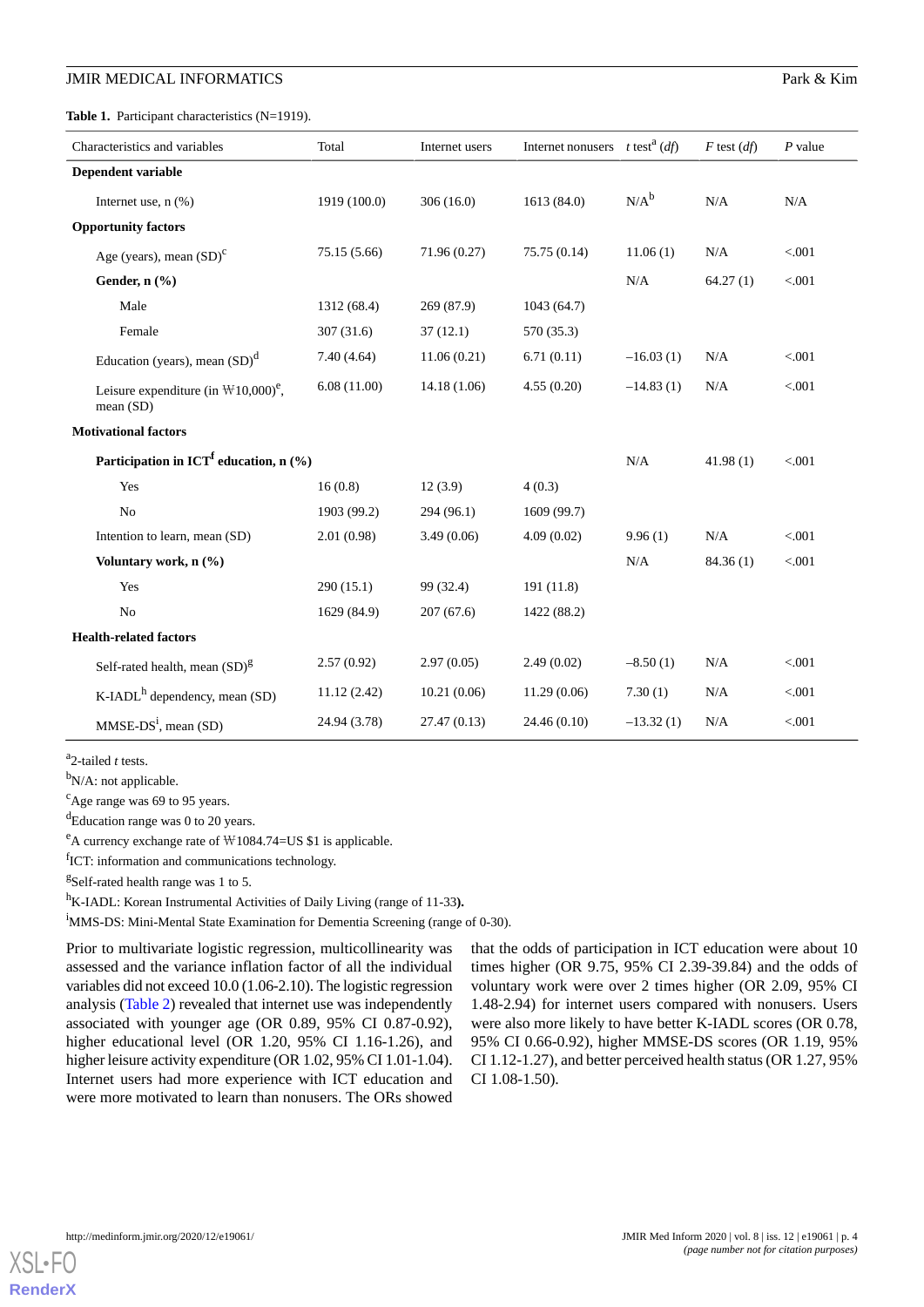<span id="page-3-0"></span>Table 1. Participant characteristics (N=1919).

| Characteristics and variables                                            | Total        | Internet users | Internet nonusers $t$ test <sup>a</sup> ( <i>df</i> ) |             | $F$ test $(df)$ | $P$ value |
|--------------------------------------------------------------------------|--------------|----------------|-------------------------------------------------------|-------------|-----------------|-----------|
| Dependent variable                                                       |              |                |                                                       |             |                 |           |
| Internet use, $n$ $(\% )$                                                | 1919 (100.0) | 306(16.0)      | 1613 (84.0)                                           | $N/A^b$     | N/A             | N/A       |
| <b>Opportunity factors</b>                                               |              |                |                                                       |             |                 |           |
| Age (years), mean $(SD)^{c}$                                             | 75.15 (5.66) | 71.96 (0.27)   | 75.75(0.14)                                           | 11.06(1)    | N/A             | < .001    |
| Gender, n (%)                                                            |              |                |                                                       | N/A         | 64.27(1)        | < 0.001   |
| Male                                                                     | 1312 (68.4)  | 269 (87.9)     | 1043 (64.7)                                           |             |                 |           |
| Female                                                                   | 307(31.6)    | 37(12.1)       | 570 (35.3)                                            |             |                 |           |
| Education (years), mean $(SD)^d$                                         | 7.40(4.64)   | 11.06(0.21)    | 6.71(0.11)                                            | $-16.03(1)$ | N/A             | < .001    |
| Leisure expenditure (in $\mathbb{W}10,000$ ) <sup>e</sup> ,<br>mean (SD) | 6.08(11.00)  | 14.18 (1.06)   | 4.55(0.20)                                            | $-14.83(1)$ | N/A             | < .001    |
| <b>Motivational factors</b>                                              |              |                |                                                       |             |                 |           |
| Participation in ICT <sup>f</sup> education, $n$ (%)                     |              |                |                                                       | N/A         | 41.98(1)        | < .001    |
| Yes                                                                      | 16(0.8)      | 12(3.9)        | 4(0.3)                                                |             |                 |           |
| No                                                                       | 1903 (99.2)  | 294 (96.1)     | 1609 (99.7)                                           |             |                 |           |
| Intention to learn, mean (SD)                                            | 2.01(0.98)   | 3.49(0.06)     | 4.09(0.02)                                            | 9.96(1)     | N/A             | < .001    |
| Voluntary work, n (%)                                                    |              |                |                                                       | N/A         | 84.36(1)        | < .001    |
| Yes                                                                      | 290(15.1)    | 99 (32.4)      | 191 (11.8)                                            |             |                 |           |
| No                                                                       | 1629 (84.9)  | 207(67.6)      | 1422 (88.2)                                           |             |                 |           |
| <b>Health-related factors</b>                                            |              |                |                                                       |             |                 |           |
| Self-rated health, mean $(SD)^g$                                         | 2.57(0.92)   | 2.97(0.05)     | 2.49(0.02)                                            | $-8.50(1)$  | N/A             | < .001    |
| $K$ -IADL <sup>h</sup> dependency, mean (SD)                             | 11.12(2.42)  | 10.21(0.06)    | 11.29(0.06)                                           | 7.30(1)     | N/A             | < .001    |
| $MMSE-DSi$ , mean (SD)                                                   | 24.94 (3.78) | 27.47 (0.13)   | 24.46 (0.10)                                          | $-13.32(1)$ | N/A             | < .001    |

a 2-tailed *t* tests.

 $bN/A$ : not applicable.

<sup>c</sup>Age range was 69 to 95 years.

<sup>d</sup>Education range was 0 to 20 years.

 $e^{\text{th}}$  currency exchange rate of  $W1084.74=US $1$  is applicable.

fICT: information and communications technology.

<sup>g</sup>Self-rated health range was 1 to 5.

h<sub>K</sub>-IADL: Korean Instrumental Activities of Daily Living (range of 11-33).

<sup>i</sup>MMS-DS: Mini-Mental State Examination for Dementia Screening (range of 0-30).

Prior to multivariate logistic regression, multicollinearity was assessed and the variance inflation factor of all the individual variables did not exceed 10.0 (1.06-2.10). The logistic regression analysis [\(Table 2\)](#page-4-0) revealed that internet use was independently associated with younger age (OR 0.89, 95% CI 0.87-0.92), higher educational level (OR 1.20, 95% CI 1.16-1.26), and higher leisure activity expenditure (OR 1.02, 95% CI 1.01-1.04). Internet users had more experience with ICT education and were more motivated to learn than nonusers. The ORs showed

that the odds of participation in ICT education were about 10 times higher (OR 9.75, 95% CI 2.39-39.84) and the odds of voluntary work were over 2 times higher (OR 2.09, 95% CI 1.48-2.94) for internet users compared with nonusers. Users were also more likely to have better K-IADL scores (OR 0.78, 95% CI 0.66-0.92), higher MMSE-DS scores (OR 1.19, 95% CI 1.12-1.27), and better perceived health status (OR 1.27, 95% CI 1.08-1.50).

[XSL](http://www.w3.org/Style/XSL)•FO **[RenderX](http://www.renderx.com/)**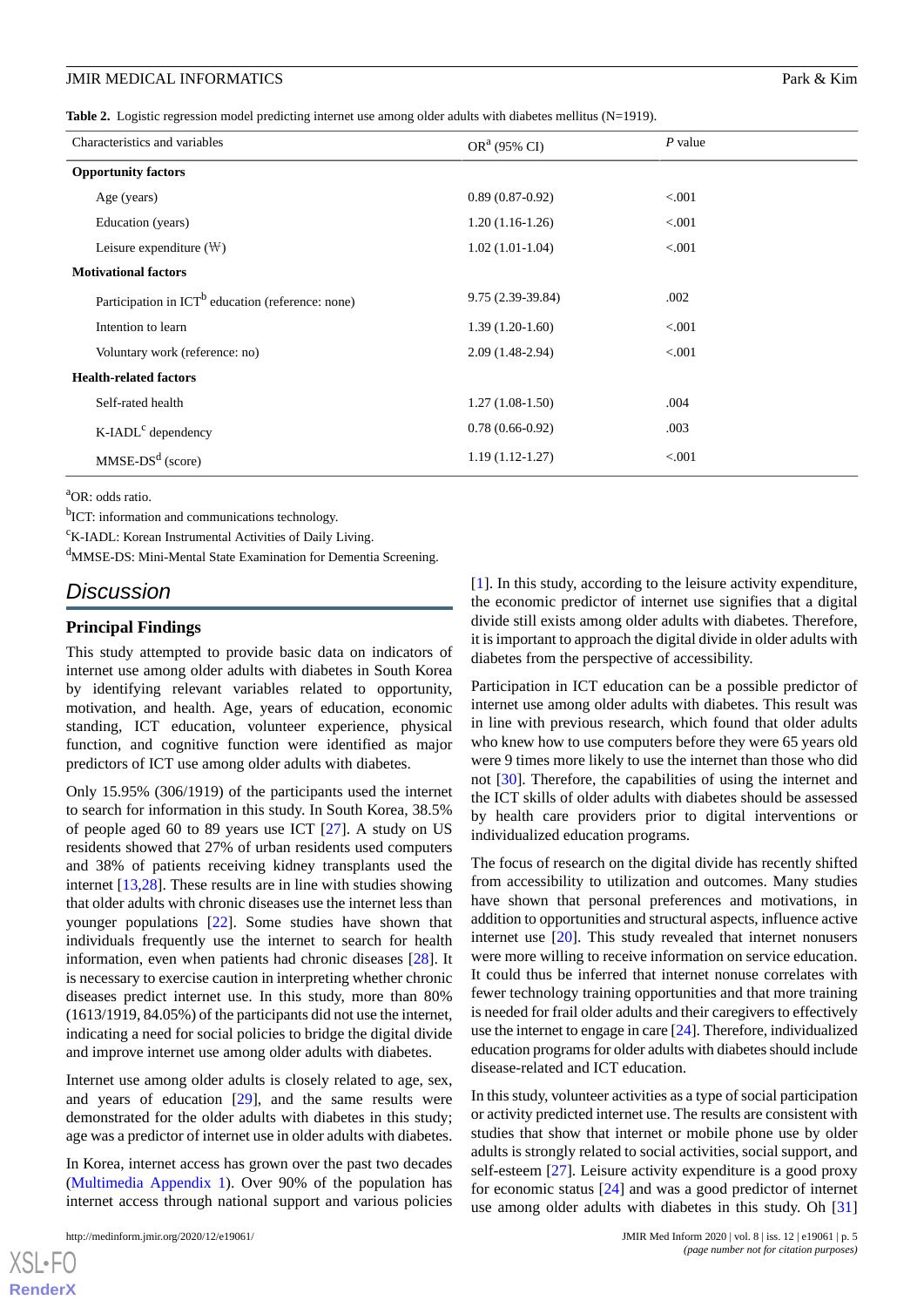<span id="page-4-0"></span>**Table 2.** Logistic regression model predicting internet use among older adults with diabetes mellitus (N=1919).

| Characteristics and variables                               | OR <sup>a</sup> (95% CI) | $P$ value |  |  |  |
|-------------------------------------------------------------|--------------------------|-----------|--|--|--|
| <b>Opportunity factors</b>                                  |                          |           |  |  |  |
| Age (years)                                                 | $0.89(0.87-0.92)$        | < 0.001   |  |  |  |
| Education (years)                                           | $1.20(1.16-1.26)$        | < 0.001   |  |  |  |
| Leisure expenditure $(\mathbb{W})$                          | $1.02(1.01-1.04)$        | < 0.001   |  |  |  |
| <b>Motivational factors</b>                                 |                          |           |  |  |  |
| Participation in $\text{ICT}^b$ education (reference: none) | 9.75 (2.39-39.84)        | .002      |  |  |  |
| Intention to learn                                          | $1.39(1.20-1.60)$        | < 0.001   |  |  |  |
| Voluntary work (reference: no)                              | $2.09(1.48-2.94)$        | < 0.001   |  |  |  |
| <b>Health-related factors</b>                               |                          |           |  |  |  |
| Self-rated health                                           | $1.27(1.08-1.50)$        | .004      |  |  |  |
| K-IADL <sup>c</sup> dependency                              | $0.78(0.66-0.92)$        | .003      |  |  |  |
| $MMSE-DSd$ (score)                                          | $1.19(1.12-1.27)$        | < 0.001   |  |  |  |

<sup>a</sup>OR: odds ratio.

<sup>b</sup>ICT: information and communications technology.

<sup>c</sup>K-IADL: Korean Instrumental Activities of Daily Living.

<sup>d</sup>MMSE-DS: Mini-Mental State Examination for Dementia Screening.

## *Discussion*

#### **Principal Findings**

This study attempted to provide basic data on indicators of internet use among older adults with diabetes in South Korea by identifying relevant variables related to opportunity, motivation, and health. Age, years of education, economic standing, ICT education, volunteer experience, physical function, and cognitive function were identified as major predictors of ICT use among older adults with diabetes.

Only 15.95% (306/1919) of the participants used the internet to search for information in this study. In South Korea, 38.5% of people aged 60 to 89 years use ICT [[27\]](#page-7-0). A study on US residents showed that 27% of urban residents used computers and 38% of patients receiving kidney transplants used the internet [[13](#page-6-9)[,28](#page-7-1)]. These results are in line with studies showing that older adults with chronic diseases use the internet less than younger populations [[22\]](#page-6-18). Some studies have shown that individuals frequently use the internet to search for health information, even when patients had chronic diseases [\[28](#page-7-1)]. It is necessary to exercise caution in interpreting whether chronic diseases predict internet use. In this study, more than 80% (1613/1919, 84.05%) of the participants did not use the internet, indicating a need for social policies to bridge the digital divide and improve internet use among older adults with diabetes.

Internet use among older adults is closely related to age, sex, and years of education [[29\]](#page-7-2), and the same results were demonstrated for the older adults with diabetes in this study; age was a predictor of internet use in older adults with diabetes.

In Korea, internet access has grown over the past two decades ([Multimedia Appendix 1\)](#page-5-2). Over 90% of the population has internet access through national support and various policies

[[1\]](#page-5-0). In this study, according to the leisure activity expenditure, the economic predictor of internet use signifies that a digital divide still exists among older adults with diabetes. Therefore, it is important to approach the digital divide in older adults with diabetes from the perspective of accessibility.

Participation in ICT education can be a possible predictor of internet use among older adults with diabetes. This result was in line with previous research, which found that older adults who knew how to use computers before they were 65 years old were 9 times more likely to use the internet than those who did not [\[30](#page-7-3)]. Therefore, the capabilities of using the internet and the ICT skills of older adults with diabetes should be assessed by health care providers prior to digital interventions or individualized education programs.

The focus of research on the digital divide has recently shifted from accessibility to utilization and outcomes. Many studies have shown that personal preferences and motivations, in addition to opportunities and structural aspects, influence active internet use [[20\]](#page-6-16). This study revealed that internet nonusers were more willing to receive information on service education. It could thus be inferred that internet nonuse correlates with fewer technology training opportunities and that more training is needed for frail older adults and their caregivers to effectively use the internet to engage in care [[24\]](#page-6-20). Therefore, individualized education programs for older adults with diabetes should include disease-related and ICT education.

In this study, volunteer activities as a type of social participation or activity predicted internet use. The results are consistent with studies that show that internet or mobile phone use by older adults is strongly related to social activities, social support, and self-esteem [\[27](#page-7-0)]. Leisure activity expenditure is a good proxy for economic status [\[24](#page-6-20)] and was a good predictor of internet use among older adults with diabetes in this study. Oh [\[31](#page-7-4)]

 $XSI - F($ **[RenderX](http://www.renderx.com/)**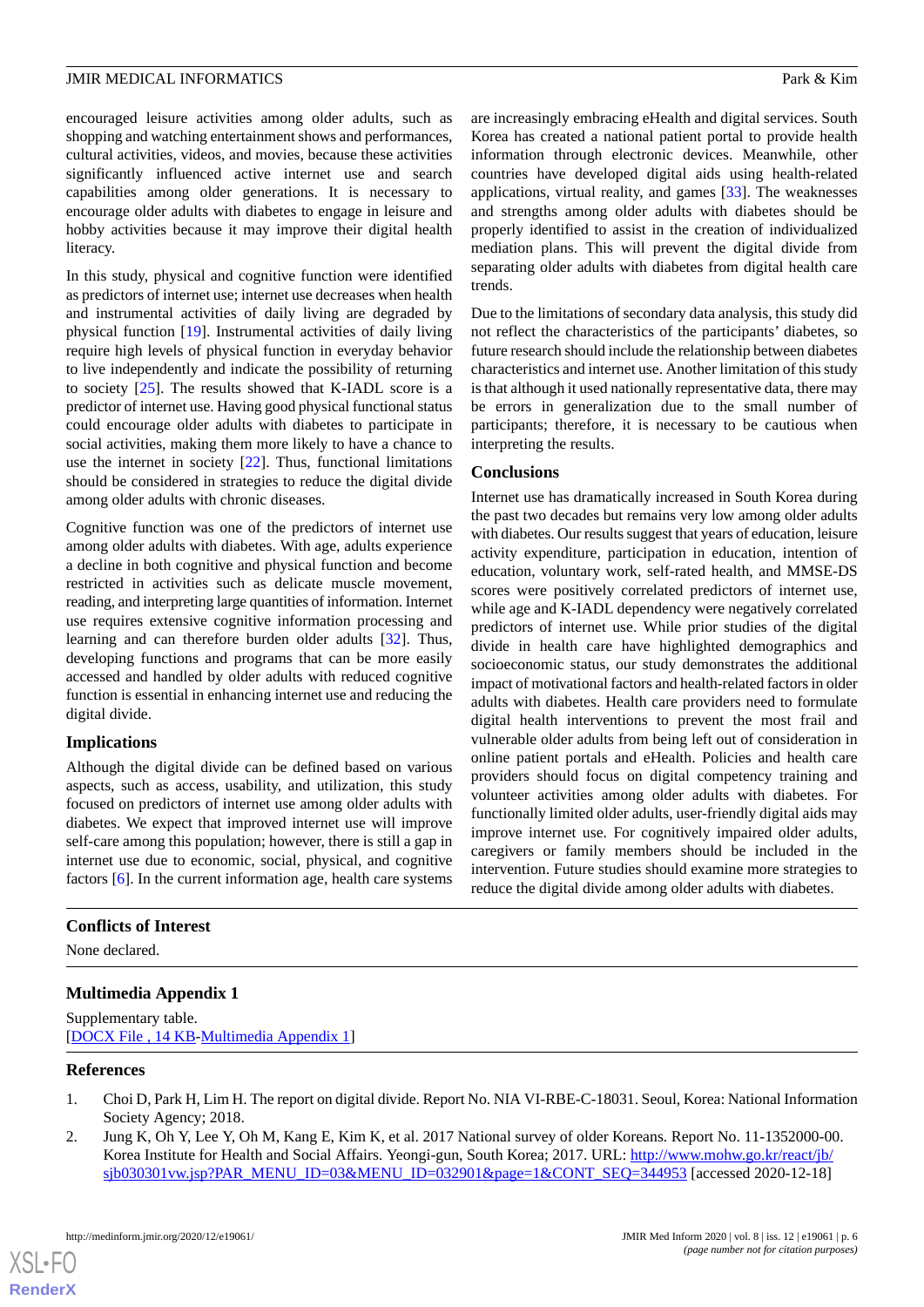encouraged leisure activities among older adults, such as shopping and watching entertainment shows and performances, cultural activities, videos, and movies, because these activities significantly influenced active internet use and search capabilities among older generations. It is necessary to encourage older adults with diabetes to engage in leisure and hobby activities because it may improve their digital health literacy.

In this study, physical and cognitive function were identified as predictors of internet use; internet use decreases when health and instrumental activities of daily living are degraded by physical function [[19\]](#page-6-15). Instrumental activities of daily living require high levels of physical function in everyday behavior to live independently and indicate the possibility of returning to society [\[25](#page-6-21)]. The results showed that K-IADL score is a predictor of internet use. Having good physical functional status could encourage older adults with diabetes to participate in social activities, making them more likely to have a chance to use the internet in society [\[22](#page-6-18)]. Thus, functional limitations should be considered in strategies to reduce the digital divide among older adults with chronic diseases.

Cognitive function was one of the predictors of internet use among older adults with diabetes. With age, adults experience a decline in both cognitive and physical function and become restricted in activities such as delicate muscle movement, reading, and interpreting large quantities of information. Internet use requires extensive cognitive information processing and learning and can therefore burden older adults [\[32](#page-7-5)]. Thus, developing functions and programs that can be more easily accessed and handled by older adults with reduced cognitive function is essential in enhancing internet use and reducing the digital divide.

## **Implications**

Although the digital divide can be defined based on various aspects, such as access, usability, and utilization, this study focused on predictors of internet use among older adults with diabetes. We expect that improved internet use will improve self-care among this population; however, there is still a gap in internet use due to economic, social, physical, and cognitive factors [[6](#page-6-23)]. In the current information age, health care systems are increasingly embracing eHealth and digital services. South Korea has created a national patient portal to provide health information through electronic devices. Meanwhile, other countries have developed digital aids using health-related applications, virtual reality, and games [\[33](#page-7-6)]. The weaknesses and strengths among older adults with diabetes should be properly identified to assist in the creation of individualized mediation plans. This will prevent the digital divide from separating older adults with diabetes from digital health care trends.

Due to the limitations of secondary data analysis, this study did not reflect the characteristics of the participants' diabetes, so future research should include the relationship between diabetes characteristics and internet use. Another limitation of this study is that although it used nationally representative data, there may be errors in generalization due to the small number of participants; therefore, it is necessary to be cautious when interpreting the results.

## **Conclusions**

Internet use has dramatically increased in South Korea during the past two decades but remains very low among older adults with diabetes. Our results suggest that years of education, leisure activity expenditure, participation in education, intention of education, voluntary work, self-rated health, and MMSE-DS scores were positively correlated predictors of internet use, while age and K-IADL dependency were negatively correlated predictors of internet use. While prior studies of the digital divide in health care have highlighted demographics and socioeconomic status, our study demonstrates the additional impact of motivational factors and health-related factors in older adults with diabetes. Health care providers need to formulate digital health interventions to prevent the most frail and vulnerable older adults from being left out of consideration in online patient portals and eHealth. Policies and health care providers should focus on digital competency training and volunteer activities among older adults with diabetes. For functionally limited older adults, user-friendly digital aids may improve internet use. For cognitively impaired older adults, caregivers or family members should be included in the intervention. Future studies should examine more strategies to reduce the digital divide among older adults with diabetes.

## <span id="page-5-2"></span>**Conflicts of Interest**

None declared.

## <span id="page-5-0"></span>**Multimedia Appendix 1**

<span id="page-5-1"></span>Supplementary table. [[DOCX File , 14 KB](https://jmir.org/api/download?alt_name=medinform_v8i12e19061_app1.docx&filename=f77937e8b54e5bd770e9a6d7ab561e28.docx)-[Multimedia Appendix 1\]](https://jmir.org/api/download?alt_name=medinform_v8i12e19061_app1.docx&filename=f77937e8b54e5bd770e9a6d7ab561e28.docx)

#### **References**

 $XS$  $\cdot$ FC **[RenderX](http://www.renderx.com/)**

- 1. Choi D, Park H, Lim H. The report on digital divide. Report No. NIA VI-RBE-C-18031. Seoul, Korea: National Information Society Agency; 2018.
- 2. Jung K, Oh Y, Lee Y, Oh M, Kang E, Kim K, et al. 2017 National survey of older Koreans. Report No. 11-1352000-00. Korea Institute for Health and Social Affairs. Yeongi-gun, South Korea; 2017. URL: [http://www.mohw.go.kr/react/jb/](http://www.mohw.go.kr/react/jb/sjb030301vw.jsp?PAR_MENU_ID=03&MENU_ID=032901&page=1&CONT_SEQ=344953) [sjb030301vw.jsp?PAR\\_MENU\\_ID=03&MENU\\_ID=032901&page=1&CONT\\_SEQ=344953](http://www.mohw.go.kr/react/jb/sjb030301vw.jsp?PAR_MENU_ID=03&MENU_ID=032901&page=1&CONT_SEQ=344953) [accessed 2020-12-18]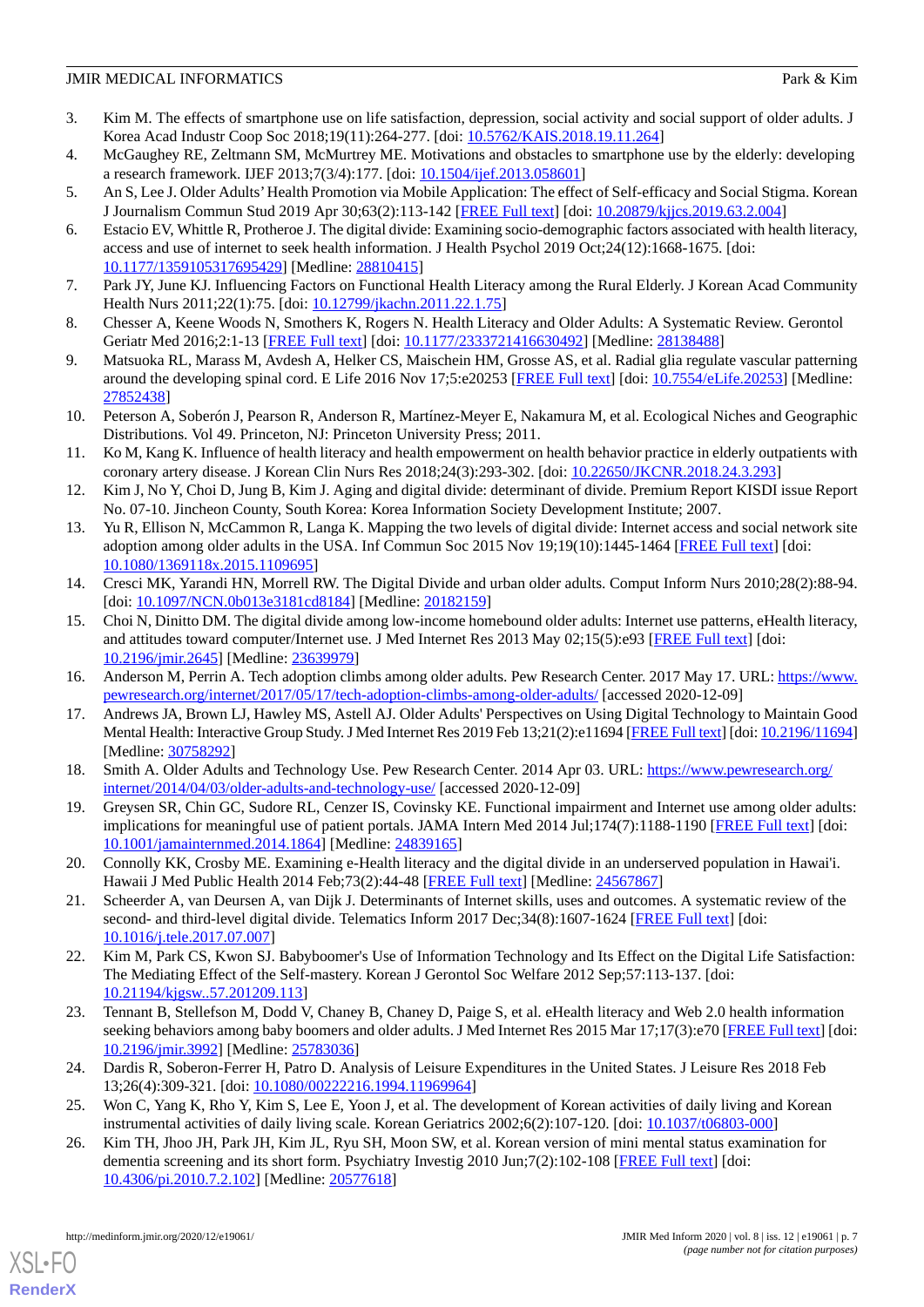- <span id="page-6-0"></span>3. Kim M. The effects of smartphone use on life satisfaction, depression, social activity and social support of older adults. J Korea Acad Industr Coop Soc 2018;19(11):264-277. [doi: [10.5762/KAIS.2018.19.11.264\]](http://dx.doi.org/10.5762/KAIS.2018.19.11.264)
- <span id="page-6-2"></span><span id="page-6-1"></span>4. McGaughey RE, Zeltmann SM, McMurtrey ME. Motivations and obstacles to smartphone use by the elderly: developing a research framework. IJEF 2013;7(3/4):177. [doi: [10.1504/ijef.2013.058601](http://dx.doi.org/10.1504/ijef.2013.058601)]
- <span id="page-6-23"></span>5. An S, Lee J. Older Adults'Health Promotion via Mobile Application: The effect of Self-efficacy and Social Stigma. Korean J Journalism Commun Stud 2019 Apr 30;63(2):113-142 [[FREE Full text](https://www.researchgate.net/deref/http%3A%2F%2Fdx.doi.org%2F10.20879%2Fkjjcs.2019.63.2.004)] [doi: [10.20879/kjjcs.2019.63.2.004\]](http://dx.doi.org/10.20879/kjjcs.2019.63.2.004)
- 6. Estacio EV, Whittle R, Protheroe J. The digital divide: Examining socio-demographic factors associated with health literacy, access and use of internet to seek health information. J Health Psychol 2019 Oct;24(12):1668-1675. [doi: [10.1177/1359105317695429\]](http://dx.doi.org/10.1177/1359105317695429) [Medline: [28810415\]](http://www.ncbi.nlm.nih.gov/entrez/query.fcgi?cmd=Retrieve&db=PubMed&list_uids=28810415&dopt=Abstract)
- <span id="page-6-4"></span><span id="page-6-3"></span>7. Park JY, June KJ. Influencing Factors on Functional Health Literacy among the Rural Elderly. J Korean Acad Community Health Nurs 2011;22(1):75. [doi: [10.12799/jkachn.2011.22.1.75](http://dx.doi.org/10.12799/jkachn.2011.22.1.75)]
- <span id="page-6-5"></span>8. Chesser A, Keene Woods N, Smothers K, Rogers N. Health Literacy and Older Adults: A Systematic Review. Gerontol Geriatr Med 2016;2:1-13 [[FREE Full text](https://journals.sagepub.com/doi/10.1177/2333721416630492?url_ver=Z39.88-2003&rfr_id=ori:rid:crossref.org&rfr_dat=cr_pub%3dpubmed)] [doi: [10.1177/2333721416630492\]](http://dx.doi.org/10.1177/2333721416630492) [Medline: [28138488\]](http://www.ncbi.nlm.nih.gov/entrez/query.fcgi?cmd=Retrieve&db=PubMed&list_uids=28138488&dopt=Abstract)
- <span id="page-6-6"></span>9. Matsuoka RL, Marass M, Avdesh A, Helker CS, Maischein HM, Grosse AS, et al. Radial glia regulate vascular patterning around the developing spinal cord. E Life 2016 Nov 17;5:e20253 [[FREE Full text](https://doi.org/10.7554/eLife.20253)] [doi: [10.7554/eLife.20253](http://dx.doi.org/10.7554/eLife.20253)] [Medline: [27852438](http://www.ncbi.nlm.nih.gov/entrez/query.fcgi?cmd=Retrieve&db=PubMed&list_uids=27852438&dopt=Abstract)]
- <span id="page-6-7"></span>10. Peterson A, Soberón J, Pearson R, Anderson R, Martínez-Meyer E, Nakamura M, et al. Ecological Niches and Geographic Distributions. Vol 49. Princeton, NJ: Princeton University Press; 2011.
- <span id="page-6-8"></span>11. Ko M, Kang K. Influence of health literacy and health empowerment on health behavior practice in elderly outpatients with coronary artery disease. J Korean Clin Nurs Res 2018;24(3):293-302. [doi: [10.22650/JKCNR.2018.24.3.293](http://dx.doi.org/10.22650/JKCNR.2018.24.3.293)]
- <span id="page-6-9"></span>12. Kim J, No Y, Choi D, Jung B, Kim J. Aging and digital divide: determinant of divide. Premium Report KISDI issue Report No. 07-10. Jincheon County, South Korea: Korea Information Society Development Institute; 2007.
- <span id="page-6-10"></span>13. Yu R, Ellison N, McCammon R, Langa K. Mapping the two levels of digital divide: Internet access and social network site adoption among older adults in the USA. Inf Commun Soc 2015 Nov 19;19(10):1445-1464 [\[FREE Full text](https://www.researchgate.net/deref/http%3A%2F%2Fdx.doi.org%2F10.1080%2F1369118X.2015.1109695)] [doi: [10.1080/1369118x.2015.1109695\]](http://dx.doi.org/10.1080/1369118x.2015.1109695)
- <span id="page-6-11"></span>14. Cresci MK, Yarandi HN, Morrell RW. The Digital Divide and urban older adults. Comput Inform Nurs 2010;28(2):88-94. [doi: [10.1097/NCN.0b013e3181cd8184\]](http://dx.doi.org/10.1097/NCN.0b013e3181cd8184) [Medline: [20182159\]](http://www.ncbi.nlm.nih.gov/entrez/query.fcgi?cmd=Retrieve&db=PubMed&list_uids=20182159&dopt=Abstract)
- <span id="page-6-13"></span><span id="page-6-12"></span>15. Choi N, Dinitto DM. The digital divide among low-income homebound older adults: Internet use patterns, eHealth literacy, and attitudes toward computer/Internet use. J Med Internet Res 2013 May 02;15(5):e93 [\[FREE Full text\]](https://www.jmir.org/2013/5/e93/) [doi: [10.2196/jmir.2645](http://dx.doi.org/10.2196/jmir.2645)] [Medline: [23639979](http://www.ncbi.nlm.nih.gov/entrez/query.fcgi?cmd=Retrieve&db=PubMed&list_uids=23639979&dopt=Abstract)]
- <span id="page-6-14"></span>16. Anderson M, Perrin A. Tech adoption climbs among older adults. Pew Research Center. 2017 May 17. URL: [https://www.](https://www.pewresearch.org/internet/2017/05/17/tech-adoption-climbs-among-older-adults/) [pewresearch.org/internet/2017/05/17/tech-adoption-climbs-among-older-adults/](https://www.pewresearch.org/internet/2017/05/17/tech-adoption-climbs-among-older-adults/) [accessed 2020-12-09]
- <span id="page-6-15"></span>17. Andrews JA, Brown LJ, Hawley MS, Astell AJ. Older Adults' Perspectives on Using Digital Technology to Maintain Good Mental Health: Interactive Group Study. J Med Internet Res 2019 Feb 13;21(2):e11694 [[FREE Full text\]](https://www.jmir.org/2019/2/e11694/) [doi: [10.2196/11694\]](http://dx.doi.org/10.2196/11694) [Medline: [30758292](http://www.ncbi.nlm.nih.gov/entrez/query.fcgi?cmd=Retrieve&db=PubMed&list_uids=30758292&dopt=Abstract)]
- <span id="page-6-16"></span>18. Smith A. Older Adults and Technology Use. Pew Research Center. 2014 Apr 03. URL: [https://www.pewresearch.org/](https://www.pewresearch.org/internet/2014/04/03/older-adults-and-technology-use/) [internet/2014/04/03/older-adults-and-technology-use/](https://www.pewresearch.org/internet/2014/04/03/older-adults-and-technology-use/) [accessed 2020-12-09]
- <span id="page-6-17"></span>19. Greysen SR, Chin GC, Sudore RL, Cenzer IS, Covinsky KE. Functional impairment and Internet use among older adults: implications for meaningful use of patient portals. JAMA Intern Med 2014 Jul;174(7):1188-1190 [\[FREE Full text\]](http://europepmc.org/abstract/MED/24839165) [doi: [10.1001/jamainternmed.2014.1864\]](http://dx.doi.org/10.1001/jamainternmed.2014.1864) [Medline: [24839165\]](http://www.ncbi.nlm.nih.gov/entrez/query.fcgi?cmd=Retrieve&db=PubMed&list_uids=24839165&dopt=Abstract)
- <span id="page-6-18"></span>20. Connolly KK, Crosby ME. Examining e-Health literacy and the digital divide in an underserved population in Hawai'i. Hawaii J Med Public Health 2014 Feb;73(2):44-48 [[FREE Full text](http://europepmc.org/abstract/MED/24567867)] [Medline: [24567867](http://www.ncbi.nlm.nih.gov/entrez/query.fcgi?cmd=Retrieve&db=PubMed&list_uids=24567867&dopt=Abstract)]
- <span id="page-6-19"></span>21. Scheerder A, van Deursen A, van Dijk J. Determinants of Internet skills, uses and outcomes. A systematic review of the second- and third-level digital divide. Telematics Inform 2017 Dec;34(8):1607-1624 [[FREE Full text\]](https://doi.org/10.1016/j.tele.2017.07.007) [doi: [10.1016/j.tele.2017.07.007](http://dx.doi.org/10.1016/j.tele.2017.07.007)]
- <span id="page-6-20"></span>22. Kim M, Park CS, Kwon SJ. Babyboomer's Use of Information Technology and Its Effect on the Digital Life Satisfaction: The Mediating Effect of the Self-mastery. Korean J Gerontol Soc Welfare 2012 Sep;57:113-137. [doi: [10.21194/kjgsw..57.201209.113](http://dx.doi.org/10.21194/kjgsw..57.201209.113)]
- <span id="page-6-22"></span><span id="page-6-21"></span>23. Tennant B, Stellefson M, Dodd V, Chaney B, Chaney D, Paige S, et al. eHealth literacy and Web 2.0 health information seeking behaviors among baby boomers and older adults. J Med Internet Res 2015 Mar 17;17(3):e70 [[FREE Full text](https://www.jmir.org/2015/3/e70/)] [doi: [10.2196/jmir.3992](http://dx.doi.org/10.2196/jmir.3992)] [Medline: [25783036](http://www.ncbi.nlm.nih.gov/entrez/query.fcgi?cmd=Retrieve&db=PubMed&list_uids=25783036&dopt=Abstract)]
- 24. Dardis R, Soberon-Ferrer H, Patro D. Analysis of Leisure Expenditures in the United States. J Leisure Res 2018 Feb 13;26(4):309-321. [doi: [10.1080/00222216.1994.11969964\]](http://dx.doi.org/10.1080/00222216.1994.11969964)
- 25. Won C, Yang K, Rho Y, Kim S, Lee E, Yoon J, et al. The development of Korean activities of daily living and Korean instrumental activities of daily living scale. Korean Geriatrics 2002;6(2):107-120. [doi: [10.1037/t06803-000](http://dx.doi.org/10.1037/t06803-000)]
- 26. Kim TH, Jhoo JH, Park JH, Kim JL, Ryu SH, Moon SW, et al. Korean version of mini mental status examination for dementia screening and its short form. Psychiatry Investig 2010 Jun;7(2):102-108 [[FREE Full text](http://psychiatryinvestigation.org/journal/view.php?doi=10.4306/pi.2010.7.2.102)] [doi: [10.4306/pi.2010.7.2.102\]](http://dx.doi.org/10.4306/pi.2010.7.2.102) [Medline: [20577618](http://www.ncbi.nlm.nih.gov/entrez/query.fcgi?cmd=Retrieve&db=PubMed&list_uids=20577618&dopt=Abstract)]